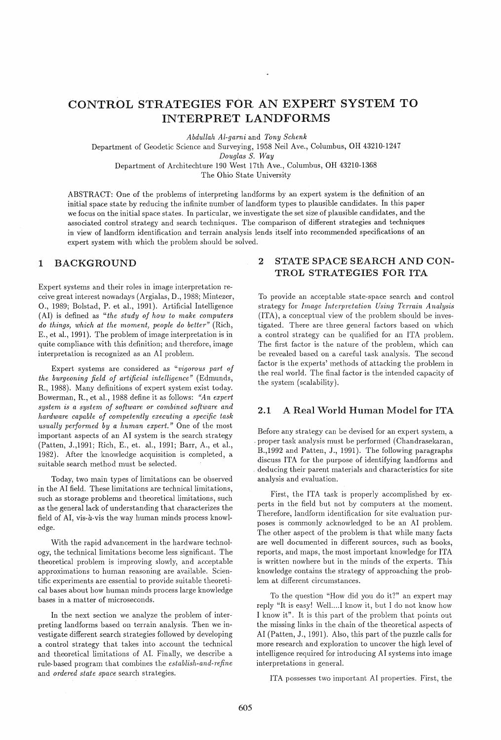# CONTROL STRATEGIES FOR AN EXPERT SYSTEM TO INTERPRET LANDFORMS

*Abdullah Al-garni* and *Tony Schenk* 

Department of Geodetic Science and Surveying, 1958 Neil Ave., Columbus, OH 43210-1247

*Douglas S. Way* 

Department of Architechture 190 West 17th Ave., Columbus, OH 43210-1368

The Ohio State University

ABSTRACT: One of the problems of interpreting landforms by an expert system is the definition of an initial space state by reducing the infinite number of landform types to plausible candidates. In this paper we focus on the initial space states. In particular, we investigate the set size of plausible candidates, and the associated control strategy and search techniques. The comparison of different strategies and techniques in view of landform identification and terrain analysis lends itself into recommended specifications of an expert system with which the problem should be solved.

### 1 BACKGROUND

Expert systems and their roles in image interpretation receive great interest nowadays (Argialas, D., 1988; Mintezer, 0., 1989; Bolstad, P. et al., 1991). Artificial Intelligence (AI) is defined as *"the study of how to make computers do things) which at the moment) people do better"* (Rich, E., et al., 1991). The problem of image interpretation is in quite compliance with this definition; and therefore, image interpretation is recognized as an AI problem.

Expert systems are considered as "vigorous part of *the burgeoning field of artificial intelligence"* (Edmunds, R., 1988). Many definitions of expert system exist today. Bowerman, R., et al., 1988 define it as follows: *"An expert system is a system of software or combined softuwre and hardware capable of competently executing a specific task usually performed by a human expert."* One of the most important aspects of an AI system is the search strategy (Patten, J.,1991; Rich, E., et. al., 1991; Barr, A., et al., 1982). After the knowledge acquisition is completed, a suitable search method must be selected.

Today, two main types of limitations can be observed in the AI field. These limitations are technical limitations, such as storage problems and theoretical limitations, such as the general lack of understanding that characterizes the field of AI, vis-à-vis the way human minds process knowledge.

With the rapid advancement in the hardware technology, the technical limitations become less significant. The theoretical problem is improving slowly, and acceptable approximations to human reasoning are available. Scientific experiments are essential to provide suitable theoretical bases about how human minds process large knowledge bases in a matter of microseconds.

In the next section we analyze the problem of interpreting landforms based on terrain analysis. Then we investigate different search strategies followed by developing a control strategy that takes into account the technical and theoretical limitations of AI. Finally, we describe a rule-based program that combines the *establish-and-1'efine*  and *ordered state space* search strategies.

## 2 STATE SPACE SEARCH AND CON-TROL STRATEGIES FOR ITA

To provide an acceptable state-space search and control strategy for *Image Interpretation Using Terrain Analysis*  (ITA), a conceptual view of the problem should be investigated. There are three general factors based on which a control strategy can be qualified for an ITA problem. The first factor is the nature of the problem, which can be revealed based on a careful task analysis. The second factor is the experts' methods of attacking the problem in the real world. The final factor is the intended capacity of the system (scalability).

### 2.1 A Real World Human Model for ITA

Before any strategy can be devised for an expert system, a . proper task analysis must be performed (Chandrasekaran, B.,1992 and Patten, J., 1991). The following paragraphs discuss ITA for the purpose of identifying landforms and . deducing their parent materials and characteristics for site analysis and evaluation.

First, the ITA task is properly accomplished by experts in the field but not by computers at the moment. Therefore, landform identification for site evaluation purposes is commonly acknowledged to be an AI problem. The other aspect of the problem is that while many facts are well documented in different sources, such as books, reports, and maps, the most important knowledge for ITA is written nowhere but in the minds of the experts. This knowledge contains the strategy of approaching the problem at different circumstances.

To the question "How did you do it?" an expert may reply "It is easy! Well....I know it, but I do not know how I know it". It is this part of the problem that points out the missing links in the chain of the theoretical aspects of AI (Patten, J., 1991). Also, this part of the puzzle calls for more research and exploration to uncover the high level of intelligence required for introducing AI systems into image interpretations in general.

ITA possesses two important AI properties. First, the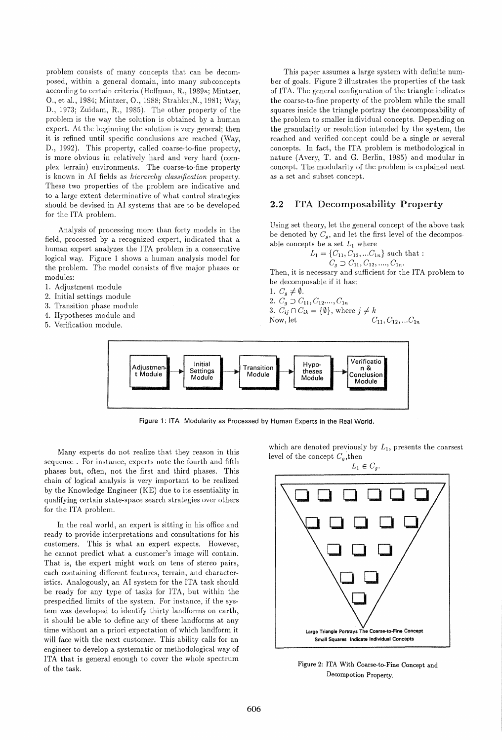problem consists of many concepts that can be decomposed, within a general domain, into many subconcepts according to certain criteria (Hoffman, R., 1989a; Mintzer, 0., et al., 1984; Mintzer, 0., 1988; Strahler,N., 1981; Way, D., 1973; Zuidam, R., 1985). The other property of the problem is the way the solution is obtained by a human expert. At the beginning the solution is very general; then it is refined until specific conclusions are reached (Way, D., 1992). This property, called coarse-to-fine property, is more obvious in relatively hard and very hard (complex terrain) environments. The coarse-to-fine property is known in AI fields as *hierarchy classification* property. These two properties of the problem are indicative and to a large extent determinative of what control strategies should be devised in AI systems that are to be developed for the ITA problem.

Analysis of processing more than forty models in the field, processed by a recognized expert, indicated that a human expert analyzes the ITA problem in a consecutive logical way. Figure 1 shows a human analysis model for the problem. The model consists of five major phases or modules:

- 1. Adjustment module
- 2. Initial settings module
- 3. Transition phase module
- 4. Hypotheses module and
- 5. Verification module.

This paper assumes a large system with definite number of goals. Figure 2 illustrates the properties of the task of ITA. The general configuration of the triangle indicates the coarse-to-fine property of the problem while the small squares inside the triangle portray the decomposability of the problem to smaller individual concepts. Depending on the granularity or resolution intended by the system, the reached and verified concept could be a single or several concepts. In fact, the ITA problem is methodological in nature (Avery, T. and G. Berlin, 1985) and modular in concept. The modularity of the problem is explained next as a set and subset concept.

#### 2.2 ITA Decomposability Property

Using set theory, let the general concept of the above task be denoted by  $C_q$ , and let the first level of the decomposable concepts be a set  $L_1$  where

$$
L_1 = \{C_{11}, C_{12}, \dots C_{1n}\} \text{ such that :}
$$
  

$$
C_g \supset C_{11}, C_{12}, \dots, C_{1n}.
$$

Then, it is necessary and sufficient for the ITA problem to be decomposable if it has:

1.  $C_g \neq \emptyset$ .

2. 
$$
C_g \supset C_{11}, C_{12}, \ldots, C_{1n}
$$

3. 
$$
C_{ij} \cap C_{ik} = \{\emptyset\}
$$
, where  $j \neq k$  Now, let  $C_{11}, C_{12}, \ldots, C_{1n}$ 



Figure 1: ITA Modularity as Processed by Human Experts in the Real World.

Many experts do not realize that they reason in this sequence. For instance, experts note the fourth and fifth phases but, often, not the first and third phases. This chain of logical analysis is very important to be realized by the Knowledge Engineer (KE) due to its essentiality in qualifying certain state-space search strategies over others for the ITA problem.

In the real world, an expert is sitting in his office and ready to provide interpretations and consultations for his customers. This is what an expert expects. However, he cannot predict what a customer's image will contain. That is, the expert might work on tens of stereo pairs, each containing different features, terrain, and characteristics. Analogously, an AI system for the ITA task should be ready for any type of tasks for ITA, but within the prespecified limits of the system. For instance, if the system was developed to identify thirty landforms on earth, it should be able to define any of these landforms at any time without an a priori expectation of which landform it will face with the next customer. This ability calls for an engineer to develop a systematic or methodological way of ITA that is general enough to cover the whole spectrum of the task.

which are denoted previously by  $L_1$ , presents the coarsest level of the concept  $C_q$ , then



Figure 2: ITA With Coarse-to-Fine Concept and Decompotion Property.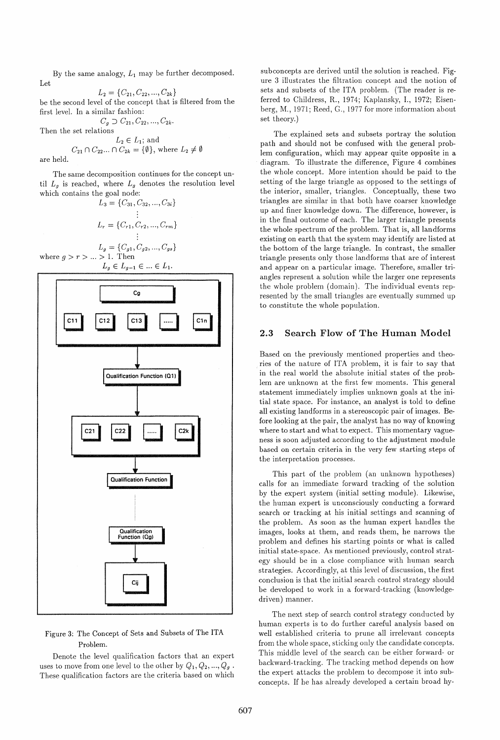By the same analogy,  $L_1$  may be further decomposed. Let

 $L_2 = \{C_{21}, C_{22}, ..., C_{2k}\}\$ be the second level of the concept that is filtered from the first level. In a similar fashion:

 $C_g \supset C_{21}, C_{22}, ..., C_{2k}$ 

Then the set relations

$$
L_2 \in L_1; \text{ and}
$$
  

$$
C_{21} \cap C_{22} \dots \cap C_{2k} = \{\emptyset\}, \text{ where } L_2 \neq \emptyset
$$

are held.

The same decomposition continues for the concept until  $L_g$  is reached, where  $L_g$  denotes the resolution level which contains the goal node:

$$
L_3 = \{C_{31}, C_{32}, ..., C_{3i}\}
$$
  
\n
$$
\vdots
$$
  
\n
$$
L_r = \{C_{r1}, C_{r2}, ..., C_{rm}\}
$$
  
\n
$$
\vdots
$$
  
\n
$$
L_g = \{C_{g1}, C_{g2}, ..., C_{gs}\}
$$

where  $g > r > ... > 1$ . Then  $L_g \in L_{g-1} \in ... \in L_1.$ 



### Figure 3: The Concept of Sets and Subsets of The ITA Problem.

Denote the level qualification factors that an expert uses to move from one level to the other by  $Q_1, Q_2, ..., Q_g$ . These qualification factors are the criteria based on which subconcepts are derived until the solution is reached. Figure 3 illustrates the filtration concept and the notion of sets and subsets of the ITA problem. (The reader is referred to Childress, R., 1974; Kaplansky, 1., 1972; Eisenberg, M., 1971; Reed, G., 1977 for more information about set theory.)

The explained sets and subsets portray the solution path and should not be confused with the general problem configuration, which may appear quite opposite in a diagram. To illustrate the difference, Figure 4 combines the whole concept. More intention should be paid to the setting of the large triangle as opposed to the settings of the interior, smaller, triangles. Conceptually, these two triangles are similar in that both have coarser knowledge up and finer knowledge down. The difference, however, is in the final outcome of each. The larger triangle presents the whole spectrum of the problem. That is, all landforms existing on earth that the system may identify are listed at the bottom of the large triangle. In contrast, the smaller triangle presents only those landforms that are of interest and appear on a particular image. Therefore, smaller triangles represent a solution while the larger one represents the whole problem (domain). The individual events represented by the small triangles are eventually summed up to constitute the whole population.

### 2.3 Search Flow of The Human Model

Based on the previously mentioned properties and theories of the nature of ITA problem, it is fair to say that in the real world the absolute initial states of the problem are unknown at the first few moments. This general statement immediately implies unknown goals at the initial state space. For instance, an analyst is told to define all existing landforms in a stereoscopic pair of images. Before looking at the pair, the analyst has no way of knowing where to start and what to expect. This momentary vagueness is soon adjusted according to the adjustment module based on certain criteria in the very few starting steps of the interpretation processes.

This part of the problem (an unknown hypotheses) calls for an immediate forward tracking of the solution by the expert system (initial setting module). Likewise, the human expert is unconsciously conducting a forward search or tracking at his initial settings and scanning of the problem. As soon as the human expert handles the images, looks at them, and reads them, he narrows the problem and defines his starting points or what is called initial state-space. As mentioned previously, control strategy should be in a close compliance with human search strategies. Accordingly, at this level of discussion, the first conclusion is that the initial search control strategy should be developed to work in a forward-tracking (knowledgedriven) manner.

The next step of search control strategy conducted by human experts is to do further careful analysis based on well established criteria to prune all irrelevant concepts from the whole space, sticking only the candidate concepts. This middle level of the search can be either forward- or backward-tracking. The tracking method depends on how the expert attacks the problem to decompose it into subconcepts. If he has already developed a certain broad hy-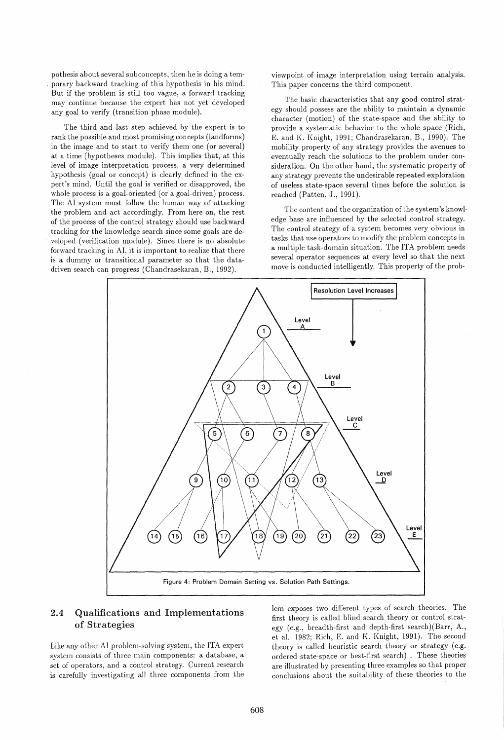pothesis about several subconcepts, then he is doing a tem- , porary backward tracking of this hypothesis in his mind. But if the problem is still too vague, a forward tracking may continue because the expert has not yet developed any goal to verify (transition phase module).

The third and last step achieved by the expert is to rank the possible and most promising concepts (landforms) in the image and to start to verify them one (or several) at a time (hypotheses module). This implies that, at this level of image interpretation process, a very determined hypothesis (goal or concept) is clearly defined in the expert's mind. Until the goal is verified or disapproved, the whole process is a goal-oriented (or a goal-driven) process. The AI system must follow the human way of attacking the problem and act accordingly. From here on, the rest of the process of the control strategy should use backward tracking for the knowledge search since some goals are developed (verification module). Since there is no absolute forward tracking in AI, it is important to realize that there is a dummy or transitional parameter so that the datadriven search can progress (Chandrasekaran, B., 1992).

viewpoint of image interpretation using terrain analysis. This paper concerns the third component.

The basic characteristics that any good control strategy should possess are the ability to maintain a dynamic character (motion) of the state-space and the ability to provide a systematic behavior to the whole space (Rich, E. and K. Knight, 1991; Chandrasekaran, B., 1990). The mobility property of any strategy provides the avenues to eventually reach the solutions to the problem under consideration. On the other hand, the systematic property of any strategy prevents the undesirable repeated exploration of useless state-space several times before the solution is reached (Patten, J., 1991). .

The content and the organization of the system's knowledge base are influenced by the selected control strategy. The control strategy of a system becomes very obvious in tasks that use operators to modify the problem concepts in a multiple task-domain situation. The ITA problem needs several operator sequences at every level so that the next move is conducted intelligently. This property of the prob-



### 2.4 Qualifications and Implementations of Strategies

Like any other AI problem-solving system, the ITA expert system consists of three main components: a database, a set of operators, and a control strategy. Current research is carefully investigating all three components from the lem exposes two different types of search theories. The first theory is called blind search theory or control strategy (e.g., breadth-first and depth-first search) (Barr, A., et al. 1982; Rich, E. and K. Knight, 1991). The second theory is called heuristic search theory or strategy (e.g. ordered state-space or best-first search) . These theories are illustrated by presenting three examples so that proper conclusions about the suitability of these theories to the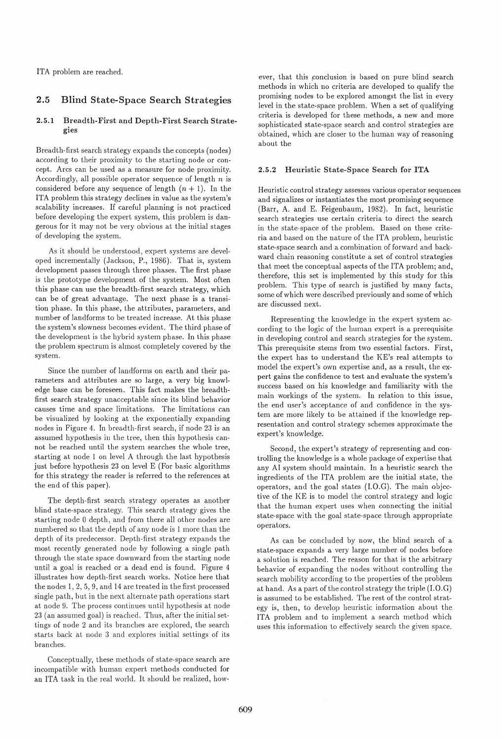ITA problem are reached.

### 2.5 Blind State-Space Search Strategies

#### 2.5.1 Breadth-First and Depth-First Search Strategies

Breadth-first search strategy expands the concepts (nodes) according to their proximity to the starting node or concept. Arcs can be used as a measure for node proximity. Accordingly, all possible operator sequence of length  $n$  is considered before any sequence of length  $(n + 1)$ . In the ITA problem this strategy declines in value as the system's scalability increases. If careful planning is not practiced before developing the expert system, this problem is dangerous for it may not be very obvious at the initial stages of developing the system.

As it should be understood, expert systems are developed incrementally (Jackson, P., 1986). That is, system development passes through three phases. The first phase is the prototype development of the system. Most often this phase can use the breadth-first search strategy, which can be of great advantage. The next phase is a transition phase. In this phase, the attributes, parameters, and number of landforms to be treated increase. At this phase the system's slowness becomes evident. The third phase of the development is the hybrid system phase. In this phase the problem spectrum is almost completely covered by the system.

Since the number of landforms on earth and their parameters and attributes are so large, a very big knowledge base can be foreseen. This fact makes the breadthfirst search strategy unacceptable since its blind behavior causes time and space limitations. The limitations can be visualized by looking at the exponentially expanding nodes in Figure 4. In breadth-first search, if node 23 is an assumed hypothesis in the tree, then this hypothesis cannot be reached until the system searches the whole tree, starting at node 1 on level A through the last hypothesis just before hypothesis 23 on level E (For basic algorithms for this strategy the reader is referred to the references at the end of this paper).

The depth-first search strategy operates as another blind state-space strategy. This search strategy gives the starting node 0 depth, and from there all other nodes are numbered so that the depth of any node is 1 more than the depth of its predecessor. Depth-first strategy expands the most recently generated node by following a single path through the state space downward from the starting node until a goal is reached or a dead end is found. Figure 4 illustrates how depth-first search works. Notice here that the nodes 1,2,5,9, and 14 are treated in the first processed single path, but in the next alternate path operations start at node 9. The process continues until hypothesis at node 23 (an assumed goal) is reached. Thus, after the initial settings of node 2 and its branches are explored, the search starts back at node 3 and explores initial settings of its branches.

Conceptually, these methods of state-space search are incompatible with human expert methods conducted for an ITA task in the real world. It should be realized, how-

ever, that this conclusion is based on pure blind search methods in which no criteria are developed to qualify the promising nodes to be explored amongst the list in every level in the state-space problem. When a set of qualifying criteria is developed for these methods, a new and more sophisticated state-space search and control strategies are obtained, which are closer to the human way of reasoning about the

#### 2.5.2 Heuristic State-Space Search for ITA

Heuristic control strategy assesses various operator sequences and signalizes or instantiates the most promising sequence (Barr, A. and E. Feigenbaum, 1982). In fact, heuristic search strategies use certain criteria to direct the search in the state-space of the problem. Based on these criteria and based on the nature of the ITA problem, heuristic state-space search and a combination of forward and backward chain reasoning constitute a set of control strategies that meet the conceptual aspects of the ITA problem; and, therefore, this set is implemented by this study for this problem. This type of search is justified by many facts, some of which were described previously and some of which are discussed next.

Representing the knowledge in the expert system according to the logic of the human expert is a prerequisite in developing control and search strategies for the system. This prerequisite stems from two essential factors. First, the expert has to understand the KE's real attempts to model the expert's own expertise and, as a result, the expert gains the confidence to test and evaluate the system's success based on his knowledge and familiarity with the main workings of the system. In relation to this issue, the end user's acceptance of and confidence in the system are more likely to be attained if the knowledge representation and control strategy schemes approximate the expert's knowledge.

Second, the expert's strategy of representing and controlling the knowledge is a whole package of expertise that any AI system should maintain. In a heuristic search the ingredients of the ITA problem are the initial state, the operators, and the goal states (LO.G). The main objective of the KE is to model the control strategy and logic that the human expert uses when connecting the initial state-space with the goal state-space through appropriate operators.

As can be concluded by now, the blind search of a state-space expands a very large number of nodes before a solution is reached. The reason for that is the arbitrary behavior of expanding the nodes without controlling the search mobility according to the properties of the problem at hand. As a part of the control strategy the triple (LO.G) is assumed to be established. The rest of the control strategy is, then, to develop heuristic information about the ITA problem and to implement a search method which uses this information to effectively search the given space.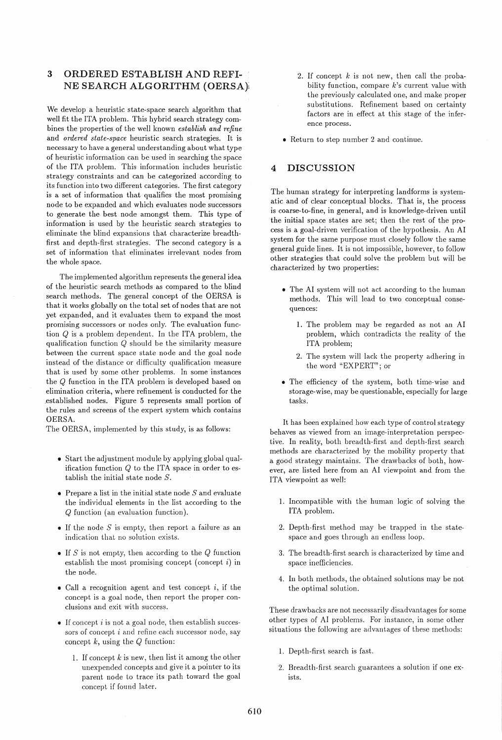### 3 ORDERED ESTABLISH AND REFI-NE SEARCH ALGORITHM (OERSA)i

We develop a heuristic state-space search algorithm that well fit the ITA problem. This hybrid search strategy combines the properties of the well known *establish and refine*  and *ordered state-space* heuristic search strategies. It is necessary to have a general understanding about what type of heuristic information can be used in searching the space of the ITA problem. This information includes heuristic strategy constraints and can be categorized according to its function into two different categories. The first category is a set of information that qualifies the most promising node to be expanded and which evaluates node successors to generate the best node amongst them. This type of information is used by the heuristic search strategies to eliminate the blind expansions that characterize breadthfirst and depth-first strategies. The second category is a set of information that eliminates irrelevant nodes from the whole space.

The implemented algorithm represents the general idea of the heuristic search methods as compared to the blind search methods. The general concept of the OERSA is that it works globally on the total set of nodes that are not yet expanded, and it evaluates them to expand the most promising successors or nodes only. The evaluation function Q is a problem dependent. In the ITA problem, the qualification function Q should be the similarity measure between the current space state node and the goal node instead of the distance or difficulty qualification measure that is used by some other problems. In some instances the Q function in the ITA problem is developed based on elimination criteria, where refinement is conducted for the ,established nodes. Figure 5 represents small portion of the rules and screens of the expert system which contains OERSA.

The OERSA, implemented by this study, is as follows:

- Start the adjustment module by applying global qualification function  $Q$  to the ITA space in order to establish the initial state node *S.*
- Prepare a list in the initial state node *S* and evaluate the individual elements in the list according to the Q function (an evaluation function).
- If the node *S* is empty, then report a failure as an indication that no solution exists.
- If *S* is not empty, then according to the Q function establish the most promising concept (concept  $i$ ) in the node.
- Call a recognition agent and test concept  $i$ , if the concept is a goal node, then report the proper conclusions and exit with success.
- $\bullet$  If concept *i* is not a goal node, then establish successors of concept  $i$  and refine each successor node, say concept  $k$ , using the  $Q$  function:
	- 1. If concept  $k$  is new, then list it among the other unexpended concepts and give it a pointer to its parent node to trace its path toward the goal concept if found later.
- 2. If concept  $k$  is not new, then call the probability function, compare  $k$ 's current value with the previously calculated one, and make proper substitutions. Refinement based on certainty factors are in effect at this stage of the inference process.
- Return to step number 2 and continue.

### 4 DISCUSSION

The human strategy for interpreting landforms is systematic and of clear conceptual blocks. That is, the process is coarse-to-fine, in general, and is knowledge-driven until the initial space states are set; then the rest of the process is a goal-driven verification of the hypothesis. An AI system for the same purpose must closely follow the same general guide lines. It is not impossible, however, to follow other strategies that could solve the problem but will be characterized by two properties:

- The AI system will not act according to the human methods. This will lead to two conceptual consequences:
	- 1. The problem may be regarded as not an AI problem, which contradicts the reality of the ITA problem;
	- 2. The system will lack the property adhering in the word "EXPERT"; or
- The efficiency of the system, both time-wise and storage-wise, may be questionable, especially for large tasks.

It has been explained how each type of control strategy behaves as viewed from an image-interpretation perspective. In reality, both breadth-first and depth-first search methods are characterized by the mobility property that a good strategy maintains. The drawbacks of both, however, are listed here from an AI viewpoint and from the ITA viewpoint as well:

- 1. Incompatible with the human logic of solving the ITA problem.
- 2. Depth-first method may be trapped in the statespace and goes through an endless loop.
- 3. The breadth-first search is characterized by time and space inefficiencies.
- 4. In both methods, the obtained solutions may be not the optimal solution.

These drawbacks are not necessarily disadvantages for some other types of AI problems. For instance, in some other situations the following are advantages of these methods:

- l. Depth-first search is fast.
- 2. Breadth-first search guarantees a solution if one exists.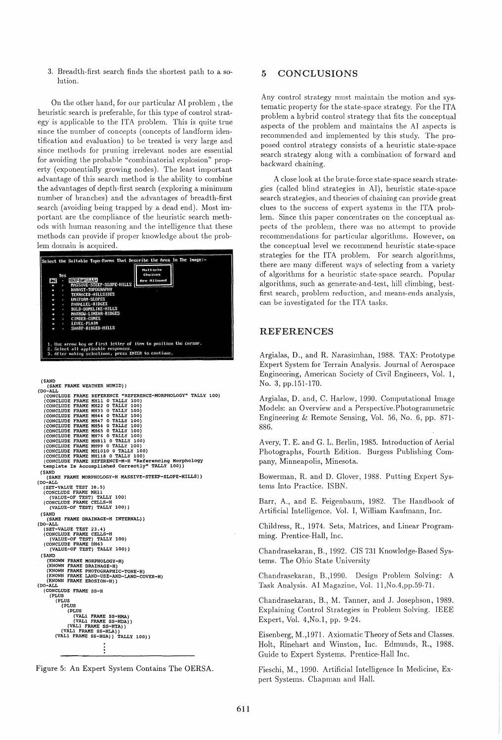3. Breadth-first search finds the shortest path to a solution.

On the other hand, for our particular AI problem, the heuristic search is preferable, for this type of control strategy is applicable to the ITA problem. This is quite true since the number of concepts (concepts of landform identification and evaluation) to be treated is very large and since methods for pruning irrelevant nodes are essential for avoiding the probable "combinatorial explosion" property (exponentially growing nodes). The least important advantage of this search method is the ability to combine the advantages of depth-first search (exploring a minimum number of branches) and the advantages of breadth-first search (avoiding being trapped by a dead end). Most important are the compliance of the heuristic search methods with human reasoning and the intelligence that these methods can provide if proper knowledge about the problem domain is acquired.



5 CONCLUSIONS

Any control strategy must maintain the motion and systematic property for the state-space strategy. For the ITA problem a hybrid control strategy that fits the conceptual aspects of the problem and maintains the AI aspects is recommended and implemented by this study. The proposed control strategy consists of a heuristic state-space search strategy along with a combination of forward and backward chaining.

A close look at the brute-force state-space search strategies (called blind strategies in AI), heuristic state-space search strategies, and theories of chaining can provide great clues to the success of expert systems in the ITA problem. Since this paper concentrates on the conceptual aspects of the problem, there was no attempt to provide recommendations for particular algorithms. However, on the conceptual level we recommend heuristic state-space strategies for the ITA problem. For search algorithms, there are many different ways of selecting from a variety of algorithms for a heuristic state-space search. Popular algorithms, such as generate-and-test, hill climbing, bestfirst search, problem reduction, and means-ends analysis, can be investigated for the ITA tasks.

### REFERENCES

Argialas, D., and R. Narasimhan, 1988. TAX: Prototype Expert System for Terrain Analysis. Journal of Aerospace Engineering, American Society of Civil Engineers, Vol. 1, No.3, pp.151-170.

Argialas, D. and, C. Harlow, 1990. Computational Image Models: an Overview and a Perspective.Photogrammetric Engineering & Remote Sensing, Vol. 56, No.6, pp. 871- 886.

Avery, T. E. and G. L. Berlin, 1985. Introduction of Aerial Photographs, Fourth Edition. Burgess Publishing Company, Minneapolis, Minesota.

Bowerman, R. and D. Glover, 1988. Putting Expert Systems Into Practice. ISBN.

Barr, A., and E. Feigenbaum, 1982. The Handbook of Artificial Intelligence. Vol. I, William Kaufmann, Inc.

Childress, R., 1974. Sets, Matrices, and Linear Programming. Prentice-Hall, Inc.

Chandrasekaran, B., 1992. CIS 731 Knowledge-Based Systems. The Ohio State University

Chandrasekaran, B.,1990. Design Problem Solving: A Task Analysis. AI Magazine, Vol. II,No.4,pp.59-71.

Chandrasekaran, B., M. Tanner, and J. Josephson, 1989. Explaining Control Strategies in Problem Solving. IEEE Expert, Vol. 4,No.1, pp. 9-24.

Eisenberg, M.,1971. Axiomatic Theory of Sets and Classes. Holt, Rinehart and Winston, Inc. Edmunds, R., 1988. Guide to Expert Systems. Prentice-Hall Inc.

Fieschi, M., 1990. Artificial Intelligence In Medicine, Expert Systems. Chapman and Hall.